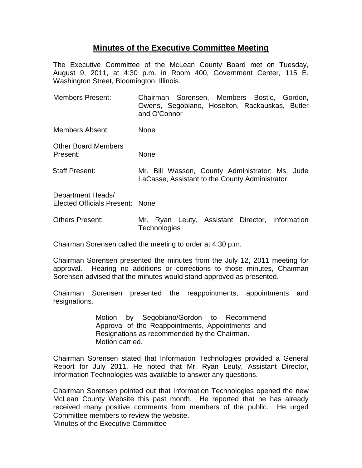## **Minutes of the Executive Committee Meeting**

The Executive Committee of the McLean County Board met on Tuesday, August 9, 2011, at 4:30 p.m. in Room 400, Government Center, 115 E. Washington Street, Bloomington, Illinois.

| <b>Members Present:</b>                              | Chairman Sorensen, Members Bostic, Gordon,<br>Owens, Segobiano, Hoselton, Rackauskas, Butler<br>and O'Connor |
|------------------------------------------------------|--------------------------------------------------------------------------------------------------------------|
| Members Absent:                                      | None                                                                                                         |
| <b>Other Board Members</b><br>Present:               | None                                                                                                         |
| <b>Staff Present:</b>                                | Mr. Bill Wasson, County Administrator; Ms. Jude<br>LaCasse, Assistant to the County Administrator            |
| Department Heads/<br>Elected Officials Present: None |                                                                                                              |
| <b>Others Present:</b>                               | Mr. Ryan Leuty, Assistant Director, Information<br><b>Technologies</b>                                       |

Chairman Sorensen called the meeting to order at 4:30 p.m.

Chairman Sorensen presented the minutes from the July 12, 2011 meeting for approval. Hearing no additions or corrections to those minutes, Chairman Sorensen advised that the minutes would stand approved as presented.

Chairman Sorensen presented the reappointments, appointments and resignations.

> Motion by Segobiano/Gordon to Recommend Approval of the Reappointments, Appointments and Resignations as recommended by the Chairman. Motion carried.

Chairman Sorensen stated that Information Technologies provided a General Report for July 2011. He noted that Mr. Ryan Leuty, Assistant Director, Information Technologies was available to answer any questions.

Chairman Sorensen pointed out that Information Technologies opened the new McLean County Website this past month. He reported that he has already received many positive comments from members of the public. He urged Committee members to review the website.

Minutes of the Executive Committee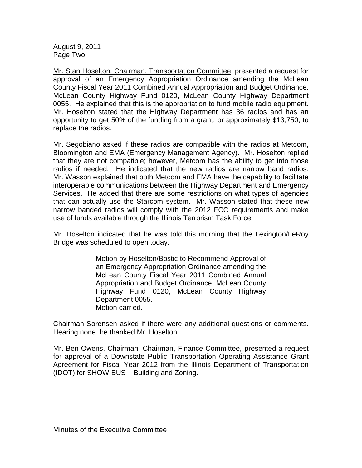August 9, 2011 Page Two

Mr. Stan Hoselton, Chairman, Transportation Committee, presented a request for approval of an Emergency Appropriation Ordinance amending the McLean County Fiscal Year 2011 Combined Annual Appropriation and Budget Ordinance, McLean County Highway Fund 0120, McLean County Highway Department 0055. He explained that this is the appropriation to fund mobile radio equipment. Mr. Hoselton stated that the Highway Department has 36 radios and has an opportunity to get 50% of the funding from a grant, or approximately \$13,750, to replace the radios.

Mr. Segobiano asked if these radios are compatible with the radios at Metcom, Bloomington and EMA (Emergency Management Agency). Mr. Hoselton replied that they are not compatible; however, Metcom has the ability to get into those radios if needed. He indicated that the new radios are narrow band radios. Mr. Wasson explained that both Metcom and EMA have the capability to facilitate interoperable communications between the Highway Department and Emergency Services. He added that there are some restrictions on what types of agencies that can actually use the Starcom system. Mr. Wasson stated that these new narrow banded radios will comply with the 2012 FCC requirements and make use of funds available through the Illinois Terrorism Task Force.

Mr. Hoselton indicated that he was told this morning that the Lexington/LeRoy Bridge was scheduled to open today.

> Motion by Hoselton/Bostic to Recommend Approval of an Emergency Appropriation Ordinance amending the McLean County Fiscal Year 2011 Combined Annual Appropriation and Budget Ordinance, McLean County Highway Fund 0120, McLean County Highway Department 0055. Motion carried.

Chairman Sorensen asked if there were any additional questions or comments. Hearing none, he thanked Mr. Hoselton.

Mr. Ben Owens, Chairman, Chairman, Finance Committee, presented a request for approval of a Downstate Public Transportation Operating Assistance Grant Agreement for Fiscal Year 2012 from the Illinois Department of Transportation (IDOT) for SHOW BUS – Building and Zoning.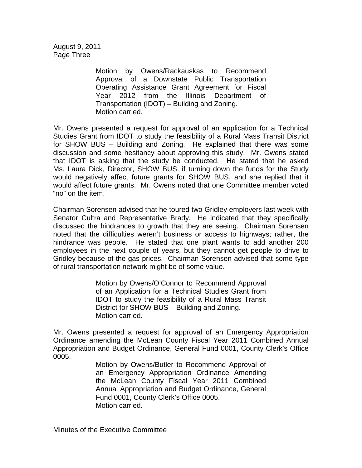August 9, 2011 Page Three

> Motion by Owens/Rackauskas to Recommend Approval of a Downstate Public Transportation Operating Assistance Grant Agreement for Fiscal Year 2012 from the Illinois Department of Transportation (IDOT) – Building and Zoning. Motion carried.

Mr. Owens presented a request for approval of an application for a Technical Studies Grant from IDOT to study the feasibility of a Rural Mass Transit District for SHOW BUS – Building and Zoning. He explained that there was some discussion and some hesitancy about approving this study. Mr. Owens stated that IDOT is asking that the study be conducted. He stated that he asked Ms. Laura Dick, Director, SHOW BUS, if turning down the funds for the Study would negatively affect future grants for SHOW BUS, and she replied that it would affect future grants. Mr. Owens noted that one Committee member voted "no" on the item.

Chairman Sorensen advised that he toured two Gridley employers last week with Senator Cultra and Representative Brady. He indicated that they specifically discussed the hindrances to growth that they are seeing. Chairman Sorensen noted that the difficulties weren't business or access to highways; rather, the hindrance was people. He stated that one plant wants to add another 200 employees in the next couple of years, but they cannot get people to drive to Gridley because of the gas prices. Chairman Sorensen advised that some type of rural transportation network might be of some value.

> Motion by Owens/O'Connor to Recommend Approval of an Application for a Technical Studies Grant from IDOT to study the feasibility of a Rural Mass Transit District for SHOW BUS – Building and Zoning. Motion carried.

Mr. Owens presented a request for approval of an Emergency Appropriation Ordinance amending the McLean County Fiscal Year 2011 Combined Annual Appropriation and Budget Ordinance, General Fund 0001, County Clerk's Office 0005.

> Motion by Owens/Butler to Recommend Approval of an Emergency Appropriation Ordinance Amending the McLean County Fiscal Year 2011 Combined Annual Appropriation and Budget Ordinance, General Fund 0001, County Clerk's Office 0005. Motion carried.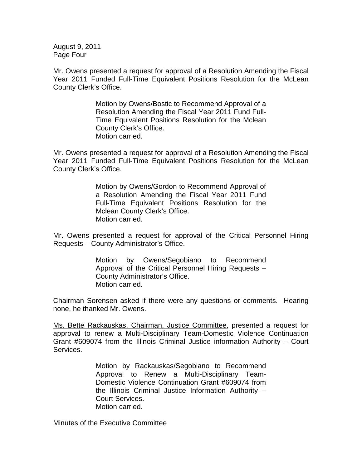August 9, 2011 Page Four

Mr. Owens presented a request for approval of a Resolution Amending the Fiscal Year 2011 Funded Full-Time Equivalent Positions Resolution for the McLean County Clerk's Office.

> Motion by Owens/Bostic to Recommend Approval of a Resolution Amending the Fiscal Year 2011 Fund Full-Time Equivalent Positions Resolution for the Mclean County Clerk's Office. Motion carried.

Mr. Owens presented a request for approval of a Resolution Amending the Fiscal Year 2011 Funded Full-Time Equivalent Positions Resolution for the McLean County Clerk's Office.

> Motion by Owens/Gordon to Recommend Approval of a Resolution Amending the Fiscal Year 2011 Fund Full-Time Equivalent Positions Resolution for the Mclean County Clerk's Office. Motion carried.

Mr. Owens presented a request for approval of the Critical Personnel Hiring Requests – County Administrator's Office.

> Motion by Owens/Segobiano to Recommend Approval of the Critical Personnel Hiring Requests – County Administrator's Office. Motion carried.

Chairman Sorensen asked if there were any questions or comments. Hearing none, he thanked Mr. Owens.

Ms. Bette Rackauskas, Chairman, Justice Committee, presented a request for approval to renew a Multi-Disciplinary Team-Domestic Violence Continuation Grant #609074 from the Illinois Criminal Justice information Authority – Court Services.

> Motion by Rackauskas/Segobiano to Recommend Approval to Renew a Multi-Disciplinary Team-Domestic Violence Continuation Grant #609074 from the Illinois Criminal Justice Information Authority – Court Services. Motion carried.

Minutes of the Executive Committee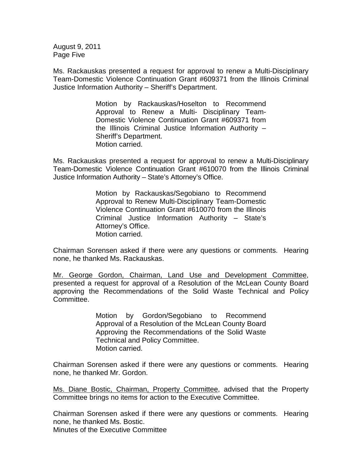August 9, 2011 Page Five

Ms. Rackauskas presented a request for approval to renew a Multi-Disciplinary Team-Domestic Violence Continuation Grant #609371 from the Illinois Criminal Justice Information Authority – Sheriff's Department.

> Motion by Rackauskas/Hoselton to Recommend Approval to Renew a Multi- Disciplinary Team-Domestic Violence Continuation Grant #609371 from the Illinois Criminal Justice Information Authority – Sheriff's Department. Motion carried.

Ms. Rackauskas presented a request for approval to renew a Multi-Disciplinary Team-Domestic Violence Continuation Grant #610070 from the Illinois Criminal Justice Information Authority – State's Attorney's Office.

> Motion by Rackauskas/Segobiano to Recommend Approval to Renew Multi-Disciplinary Team-Domestic Violence Continuation Grant #610070 from the Illinois Criminal Justice Information Authority – State's Attorney's Office. Motion carried.

Chairman Sorensen asked if there were any questions or comments. Hearing none, he thanked Ms. Rackauskas.

Mr. George Gordon, Chairman, Land Use and Development Committee, presented a request for approval of a Resolution of the McLean County Board approving the Recommendations of the Solid Waste Technical and Policy Committee.

> Motion by Gordon/Segobiano to Recommend Approval of a Resolution of the McLean County Board Approving the Recommendations of the Solid Waste Technical and Policy Committee. Motion carried.

Chairman Sorensen asked if there were any questions or comments. Hearing none, he thanked Mr. Gordon.

Ms. Diane Bostic, Chairman, Property Committee, advised that the Property Committee brings no items for action to the Executive Committee.

Chairman Sorensen asked if there were any questions or comments. Hearing none, he thanked Ms. Bostic. Minutes of the Executive Committee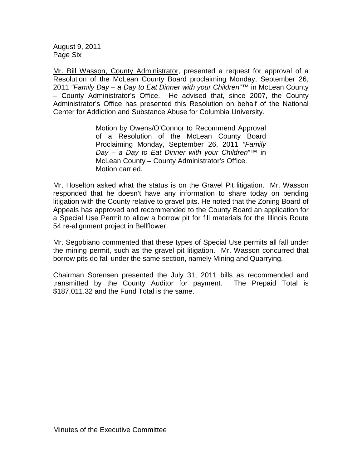August 9, 2011 Page Six

Mr. Bill Wasson, County Administrator, presented a request for approval of a Resolution of the McLean County Board proclaiming Monday, September 26, 2011 *"Family Day – a Day to Eat Dinner with your Children*"™ in McLean County – County Administrator's Office. He advised that, since 2007, the County Administrator's Office has presented this Resolution on behalf of the National Center for Addiction and Substance Abuse for Columbia University.

> Motion by Owens/O'Connor to Recommend Approval of a Resolution of the McLean County Board Proclaiming Monday, September 26, 2011 *"Family Day – a Day to Eat Dinner with your Children*"™ in McLean County – County Administrator's Office. Motion carried.

Mr. Hoselton asked what the status is on the Gravel Pit litigation. Mr. Wasson responded that he doesn't have any information to share today on pending litigation with the County relative to gravel pits. He noted that the Zoning Board of Appeals has approved and recommended to the County Board an application for a Special Use Permit to allow a borrow pit for fill materials for the Illinois Route 54 re-alignment project in Bellflower.

Mr. Segobiano commented that these types of Special Use permits all fall under the mining permit, such as the gravel pit litigation. Mr. Wasson concurred that borrow pits do fall under the same section, namely Mining and Quarrying.

Chairman Sorensen presented the July 31, 2011 bills as recommended and transmitted by the County Auditor for payment. The Prepaid Total is \$187,011.32 and the Fund Total is the same.